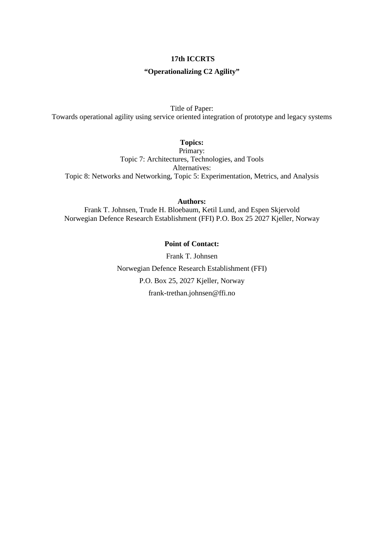### **17th ICCRTS**

### **"Operationalizing C2 Agility"**

Title of Paper:

Towards operational agility using service oriented integration of prototype and legacy systems

**Topics:**

Primary: Topic 7: Architectures, Technologies, and Tools Alternatives: Topic 8: Networks and Networking, Topic 5: Experimentation, Metrics, and Analysis

**Authors:**

Frank T. Johnsen, Trude H. Bloebaum, Ketil Lund, and Espen Skjervold Norwegian Defence Research Establishment (FFI) P.O. Box 25 2027 Kjeller, Norway

# **Point of Contact:**

Frank T. Johnsen Norwegian Defence Research Establishment (FFI) P.O. Box 25, 2027 Kjeller, Norway frank-trethan.johnsen@ffi.no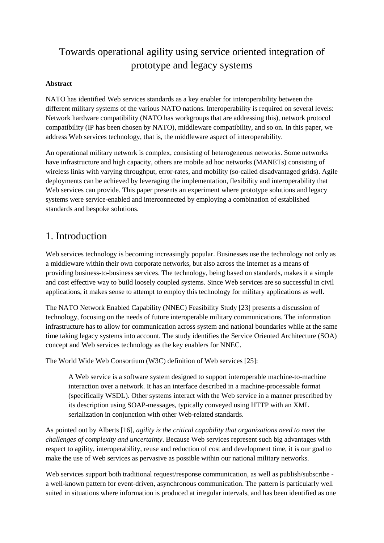# Towards operational agility using service oriented integration of prototype and legacy systems

### **Abstract**

NATO has identified Web services standards as a key enabler for interoperability between the different military systems of the various NATO nations. Interoperability is required on several levels: Network hardware compatibility (NATO has workgroups that are addressing this), network protocol compatibility (IP has been chosen by NATO), middleware compatibility, and so on. In this paper, we address Web services technology, that is, the middleware aspect of interoperability.

An operational military network is complex, consisting of heterogeneous networks. Some networks have infrastructure and high capacity, others are mobile ad hoc networks (MANETs) consisting of wireless links with varying throughput, error-rates, and mobility (so-called disadvantaged grids). Agile deployments can be achieved by leveraging the implementation, flexibility and interoperability that Web services can provide. This paper presents an experiment where prototype solutions and legacy systems were service-enabled and interconnected by employing a combination of established standards and bespoke solutions.

# 1. Introduction

Web services technology is becoming increasingly popular. Businesses use the technology not only as a middleware within their own corporate networks, but also across the Internet as a means of providing business-to-business services. The technology, being based on standards, makes it a simple and cost effective way to build loosely coupled systems. Since Web services are so successful in civil applications, it makes sense to attempt to employ this technology for military applications as well.

The NATO Network Enabled Capability (NNEC) Feasibility Study [\[23\]](#page-16-0) presents a discussion of technology, focusing on the needs of future interoperable military communications. The information infrastructure has to allow for communication across system and national boundaries while at the same time taking legacy systems into account. The study identifies the Service Oriented Architecture (SOA) concept and Web services technology as the key enablers for NNEC.

The World Wide Web Consortium (W3C) definition of Web services [\[25\]:](#page-16-1)

A Web service is a software system designed to support interoperable machine-to-machine interaction over a network. It has an interface described in a machine-processable format (specifically WSDL). Other systems interact with the Web service in a manner prescribed by its description using SOAP-messages, typically conveyed using HTTP with an XML serialization in conjunction with other Web-related standards.

As pointed out by Alberts [\[16\],](#page-15-0) *agility is the critical capability that organizations need to meet the challenges of complexity and uncertainty*. Because Web services represent such big advantages with respect to agility, interoperability, reuse and reduction of cost and development time, it is our goal to make the use of Web services as pervasive as possible within our national military networks.

Web services support both traditional request/response communication, as well as publish/subscribe a well-known pattern for event-driven, asynchronous communication. The pattern is particularly well suited in situations where information is produced at irregular intervals, and has been identified as one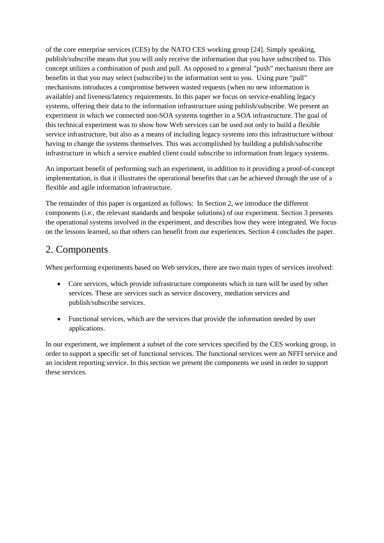of the core enterprise services (CES) by the NATO CES working group [\[24\].](#page-16-2) Simply speaking, publish/subscribe means that you will only receive the information that you have subscribed to. This concept utilizes a combination of push and pull. As opposed to a general "push" mechanism there are benefits in that you may select (subscribe) to the information sent to you. Using pure "pull" mechanisms introduces a compromise between wasted requests (when no new information is available) and liveness/latency requirements. In this paper we focus on service-enabling legacy systems, offering their data to the information infrastructure using publish/subscribe. We present an experiment in which we connected non-SOA systems together in a SOA infrastructure. The goal of this technical experiment was to show how Web services can be used not only to build a flexible service infrastructure, but also as a means of including legacy systems into this infrastructure without having to change the systems themselves. This was accomplished by building a publish/subscribe infrastructure in which a service enabled client could subscribe to information from legacy systems.

An important benefit of performing such an experiment, in addition to it providing a proof-of-concept implementation, is that it illustrates the operational benefits that can be achieved through the use of a flexible and agile information infrastructure.

The remainder of this paper is organized as follows: In Section 2, we introduce the different components (i.e., the relevant standards and bespoke solutions) of our experiment. Section 3 presents the operational systems involved in the experiment, and describes how they were integrated. We focus on the lessons learned, so that others can benefit from our experiences. Section 4 concludes the paper.

# 2. Components

When performing experiments based on Web services, there are two main types of services involved:

- Core services, which provide infrastructure components which in turn will be used by other services. These are services such as service discovery, mediation services and publish/subscribe services.
- Functional services, which are the services that provide the information needed by user applications.

In our experiment, we implement a subset of the core services specified by the CES working group, in order to support a specific set of functional services. The functional services were an NFFI service and an incident reporting service. In this section we present the components we used in order to support these services.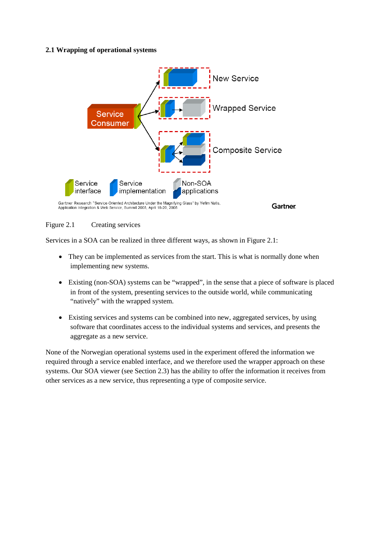### **2.1 Wrapping of operational systems**



#### Figure 2.1 Creating services

Services in a SOA can be realized in three different ways, as shown in Figure 2.1:

- They can be implemented as services from the start. This is what is normally done when implementing new systems.
- Existing (non-SOA) systems can be "wrapped", in the sense that a piece of software is placed in front of the system, presenting services to the outside world, while communicating "natively" with the wrapped system.
- Existing services and systems can be combined into new, aggregated services, by using software that coordinates access to the individual systems and services, and presents the aggregate as a new service.

None of the Norwegian operational systems used in the experiment offered the information we required through a service enabled interface, and we therefore used the wrapper approach on these systems. Our SOA viewer (see Section 2.3) has the ability to offer the information it receives from other services as a new service, thus representing a type of composite service.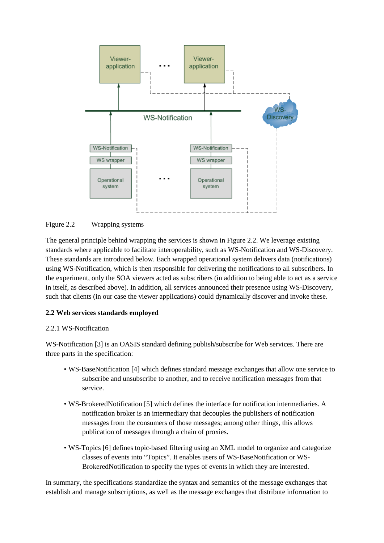

#### Figure 2.2 Wrapping systems

The general principle behind wrapping the services is shown in Figure 2.2. We leverage existing standards where applicable to facilitate interoperability, such as WS-Notification and WS-Discovery. These standards are introduced below. Each wrapped operational system delivers data (notifications) using WS-Notification, which is then responsible for delivering the notifications to all subscribers. In the experiment, only the SOA viewers acted as subscribers (in addition to being able to act as a service in itself, as described above). In addition, all services announced their presence using WS-Discovery, such that clients (in our case the viewer applications) could dynamically discover and invoke these.

#### **2.2 Web services standards employed**

#### 2.2.1 WS-Notification

WS-Notification [3] is an OASIS standard defining publish/subscribe for Web services. There are three parts in the specification:

- WS-BaseNotification [4] which defines standard message exchanges that allow one service to subscribe and unsubscribe to another, and to receive notification messages from that service.
- WS-BrokeredNotification [5] which defines the interface for notification intermediaries. A notification broker is an intermediary that decouples the publishers of notification messages from the consumers of those messages; among other things, this allows publication of messages through a chain of proxies.
- WS-Topics [6] defines topic-based filtering using an XML model to organize and categorize classes of events into "Topics". It enables users of WS-BaseNotification or WS-BrokeredNotification to specify the types of events in which they are interested.

In summary, the specifications standardize the syntax and semantics of the message exchanges that establish and manage subscriptions, as well as the message exchanges that distribute information to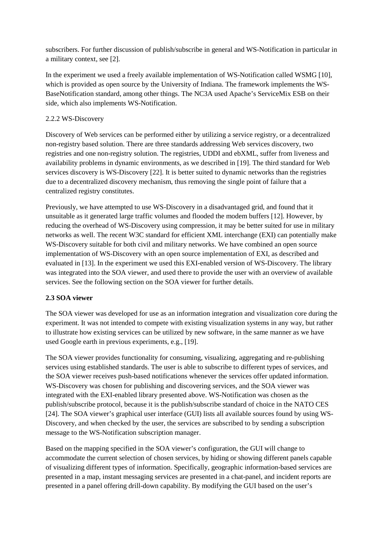subscribers. For further discussion of publish/subscribe in general and WS-Notification in particular in a military context, see [2].

In the experiment we used a freely available implementation of WS-Notification called WSMG [10], which is provided as open source by the University of Indiana. The framework implements the WS-BaseNotification standard, among other things. The NC3A used Apache's ServiceMix ESB on their side, which also implements WS-Notification.

### 2.2.2 WS-Discovery

Discovery of Web services can be performed either by utilizing a service registry, or a decentralized non-registry based solution. There are three standards addressing Web services discovery, two registries and one non-registry solution. The registries, UDDI and ebXML, suffer from liveness and availability problems in dynamic environments, as we described in [\[19\].](#page-15-1) The third standard for Web services discovery is WS-Discovery [\[22\].](#page-16-3) It is better suited to dynamic networks than the registries due to a decentralized discovery mechanism, thus removing the single point of failure that a centralized registry constitutes.

Previously, we have attempted to use WS-Discovery in a disadvantaged grid, and found that it unsuitable as it generated large traffic volumes and flooded the modem buffers [\[12\].](#page-15-2) However, by reducing the overhead of WS-Discovery using compression, it may be better suited for use in military networks as well. The recent W3C standard for efficient XML interchange (EXI) can potentially make WS-Discovery suitable for both civil and military networks. We have combined an open source implementation of WS-Discovery with an open source implementation of EXI, as described and evaluated in [\[13\].](#page-15-3) In the experiment we used this EXI-enabled version of WS-Discovery. The library was integrated into the SOA viewer, and used there to provide the user with an overview of available services. See the following section on the SOA viewer for further details.

### **2.3 SOA viewer**

The SOA viewer was developed for use as an information integration and visualization core during the experiment. It was not intended to compete with existing visualization systems in any way, but rather to illustrate how existing services can be utilized by new software, in the same manner as we have used Google earth in previous experiments, e.g., [\[19\].](#page-15-1)

The SOA viewer provides functionality for consuming, visualizing, aggregating and re-publishing services using established standards. The user is able to subscribe to different types of services, and the SOA viewer receives push-based notifications whenever the services offer updated information. WS-Discovery was chosen for publishing and discovering services, and the SOA viewer was integrated with the EXI-enabled library presented above. WS-Notification was chosen as the publish/subscribe protocol, because it is the publish/subscribe standard of choice in the NATO CES [\[24\].](#page-16-2) The SOA viewer's graphical user interface (GUI) lists all available sources found by using WS-Discovery, and when checked by the user, the services are subscribed to by sending a subscription message to the WS-Notification subscription manager.

Based on the mapping specified in the SOA viewer's configuration, the GUI will change to accommodate the current selection of chosen services, by hiding or showing different panels capable of visualizing different types of information. Specifically, geographic information-based services are presented in a map, instant messaging services are presented in a chat-panel, and incident reports are presented in a panel offering drill-down capability. By modifying the GUI based on the user's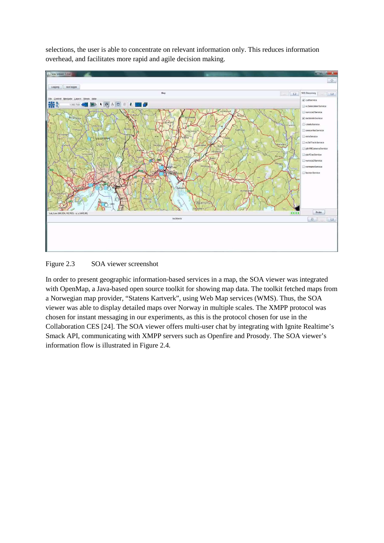selections, the user is able to concentrate on relevant information only. This reduces information overhead, and facilitates more rapid and agile decision making.



#### Figure 2.3 SOA viewer screenshot

In order to present geographic information-based services in a map, the SOA viewer was integrated with OpenMap, a Java-based open source toolkit for showing map data. The toolkit fetched maps from a Norwegian map provider, "Statens Kartverk", using Web Map services (WMS). Thus, the SOA viewer was able to display detailed maps over Norway in multiple scales. The XMPP protocol was chosen for instant messaging in our experiments, as this is the protocol chosen for use in the Collaboration CES [\[24\].](#page-16-2) The SOA viewer offers multi-user chat by integrating with Ignite Realtime's Smack API, communicating with XMPP servers such as Openfire and Prosody. The SOA viewer's information flow is illustrated in Figure 2.4.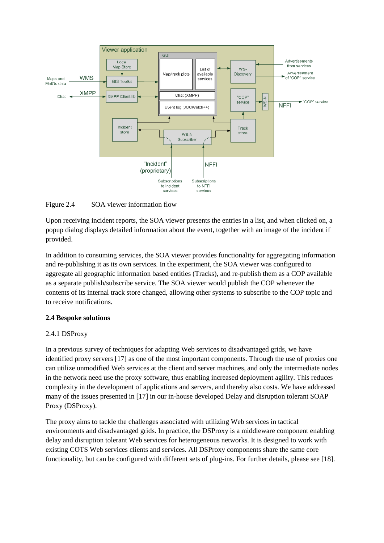

Figure 2.4 SOA viewer information flow

Upon receiving incident reports, the SOA viewer presents the entries in a list, and when clicked on, a popup dialog displays detailed information about the event, together with an image of the incident if provided.

In addition to consuming services, the SOA viewer provides functionality for aggregating information and re-publishing it as its own services. In the experiment, the SOA viewer was configured to aggregate all geographic information based entities (Tracks), and re-publish them as a COP available as a separate publish/subscribe service. The SOA viewer would publish the COP whenever the contents of its internal track store changed, allowing other systems to subscribe to the COP topic and to receive notifications.

# **2.4 Bespoke solutions**

### 2.4.1 DSProxy

In a previous survey of techniques for adapting Web services to disadvantaged grids, we have identified proxy servers [\[17\]](#page-15-4) as one of the most important components. Through the use of proxies one can utilize unmodified Web services at the client and server machines, and only the intermediate nodes in the network need use the proxy software, thus enabling increased deployment agility. This reduces complexity in the development of applications and servers, and thereby also costs. We have addressed many of the issues presented in [\[17\]](#page-15-4) in our in-house developed Delay and disruption tolerant SOAP Proxy (DSProxy).

The proxy aims to tackle the challenges associated with utilizing Web services in tactical environments and disadvantaged grids. In practice, the DSProxy is a middleware component enabling delay and disruption tolerant Web services for heterogeneous networks. It is designed to work with existing COTS Web services clients and services. All DSProxy components share the same core functionality, but can be configured with different sets of plug-ins. For further details, please see [\[18\].](#page-15-5)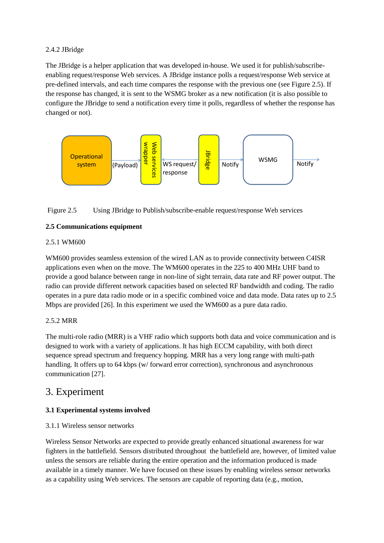# 2.4.2 JBridge

The JBridge is a helper application that was developed in-house. We used it for publish/subscribeenabling request/response Web services. A JBridge instance polls a request/response Web service at pre-defined intervals, and each time compares the response with the previous one (see Figure 2.5). If the response has changed, it is sent to the WSMG broker as a new notification (it is also possible to configure the JBridge to send a notification every time it polls, regardless of whether the response has changed or not).



# Figure 2.5 Using JBridge to Publish/subscribe-enable request/response Web services

# **2.5 Communications equipment**

# 2.5.1 WM600

WM600 provides seamless extension of the wired LAN as to provide connectivity between C4ISR applications even when on the move. The WM600 operates in the 225 to 400 MHz UHF band to provide a good balance between range in non-line of sight terrain, data rate and RF power output. The radio can provide different network capacities based on selected RF bandwidth and coding. The radio operates in a pure data radio mode or in a specific combined voice and data mode. Data rates up to 2.5 Mbps are provided [\[26\].](#page-16-4) In this experiment we used the WM600 as a pure data radio.

# 2.5.2 MRR

The multi-role radio (MRR) is a VHF radio which supports both data and voice communication and is designed to work with a variety of applications. It has high ECCM capability, with both direct sequence spread spectrum and frequency hopping. MRR has a very long range with multi-path handling. It offers up to 64 kbps (w/ forward error correction), synchronous and asynchronous communication [\[27\].](#page-16-5)

# 3. Experiment

# **3.1 Experimental systems involved**

### 3.1.1 Wireless sensor networks

Wireless Sensor Networks are expected to provide greatly enhanced situational awareness for war fighters in the battlefield. Sensors distributed throughout the battlefield are, however, of limited value unless the sensors are reliable during the entire operation and the information produced is made available in a timely manner. We have focused on these issues by enabling wireless sensor networks as a capability using Web services. The sensors are capable of reporting data (e.g., motion,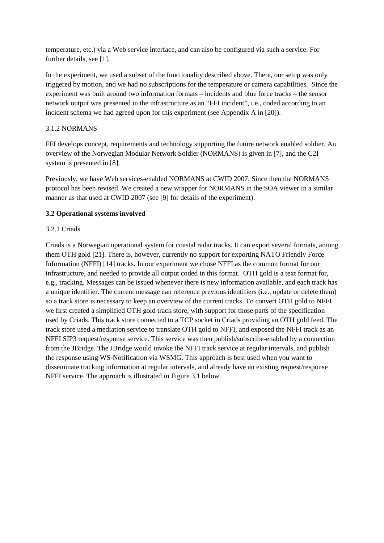temperature, etc.) via a Web service interface, and can also be configured via such a service. For further details, see [1].

In the experiment, we used a subset of the functionality described above. There, our setup was only triggered by motion, and we had no subscriptions for the temperature or camera capabilities. Since the experiment was built around two information formats – incidents and blue force tracks – the sensor network output was presented in the infrastructure as an "FFI incident", i.e., coded according to an incident schema we had agreed upon for this experiment (see Appendix A in [\[20\]\)](#page-16-6).

### 3.1.2 NORMANS

FFI develops concept, requirements and technology supporting the future network enabled soldier. An overview of the Norwegian Modular Network Soldier (NORMANS) is given in [7], and the C2I system is presented in [8].

Previously, we have Web services-enabled NORMANS at CWID 2007. Since then the NORMANS protocol has been revised. We created a new wrapper for NORMANS in the SOA viewer in a similar manner as that used at CWID 2007 (see [9] for details of the experiment).

### **3.2 Operational systems involved**

### 3.2.1 Criads

Criads is a Norwegian operational system for coastal radar tracks. It can export several formats, among them OTH gold [\[21\].](#page-16-7) There is, however, currently no support for exporting NATO Friendly Force Information (NFFI) [\[14\]](#page-15-6) tracks. In our experiment we chose NFFI as the common format for our infrastructure, and needed to provide all output coded in this format. OTH gold is a text format for, e.g., tracking. Messages can be issued whenever there is new information available, and each track has a unique identifier. The current message can reference previous identifiers (i.e., update or delete them) so a track store is necessary to keep an overview of the current tracks. To convert OTH gold to NFFI we first created a simplified OTH gold track store, with support for those parts of the specification used by Criads. This track store connected to a TCP socket in Criads providing an OTH gold feed. The track store used a mediation service to translate OTH gold to NFFI, and exposed the NFFI track as an NFFI SIP3 request/response service. This service was then publish/subscribe-enabled by a connection from the JBridge. The JBridge would invoke the NFFI track service at regular intervals, and publish the response using WS-Notification via WSMG. This approach is best used when you want to disseminate tracking information at regular intervals, and already have an existing request/response NFFI service. The approach is illustrated in Figure 3.1 below.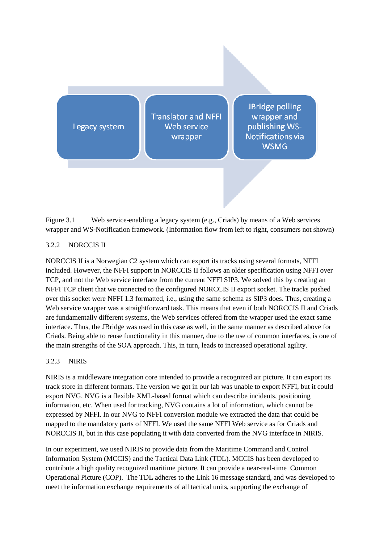Legacy system

**Translator and NFFI** Web service wrapper

**JBridge polling** wrapper and publishing WS-**Notifications via WSMG** 

Figure 3.1 Web service-enabling a legacy system (e.g., Criads) by means of a Web services wrapper and WS-Notification framework. (Information flow from left to right, consumers not shown)

# 3.2.2 NORCCIS II

NORCCIS II is a Norwegian C2 system which can export its tracks using several formats, NFFI included. However, the NFFI support in NORCCIS II follows an older specification using NFFI over TCP, and not the Web service interface from the current NFFI SIP3. We solved this by creating an NFFI TCP client that we connected to the configured NORCCIS II export socket. The tracks pushed over this socket were NFFI 1.3 formatted, i.e., using the same schema as SIP3 does. Thus, creating a Web service wrapper was a straightforward task. This means that even if both NORCCIS II and Criads are fundamentally different systems, the Web services offered from the wrapper used the exact same interface. Thus, the JBridge was used in this case as well, in the same manner as described above for Criads. Being able to reuse functionality in this manner, due to the use of common interfaces, is one of the main strengths of the SOA approach. This, in turn, leads to increased operational agility.

### 3.2.3 NIRIS

NIRIS is a middleware integration core intended to provide a recognized air picture. It can export its track store in different formats. The version we got in our lab was unable to export NFFI, but it could export NVG. NVG is a flexible XML-based format which can describe incidents, positioning information, etc. When used for tracking, NVG contains a lot of information, which cannot be expressed by NFFI. In our NVG to NFFI conversion module we extracted the data that could be mapped to the mandatory parts of NFFI. We used the same NFFI Web service as for Criads and NORCCIS II, but in this case populating it with data converted from the NVG interface in NIRIS.

In our experiment, we used NIRIS to provide data from the Maritime Command and Control Information System (MCCIS) and the Tactical Data Link (TDL). MCCIS has been developed to contribute a high quality recognized maritime picture. It can provide a near-real-time Common Operational Picture (COP). The TDL adheres to the Link 16 message standard, and was developed to meet the information exchange requirements of all tactical units, supporting the exchange of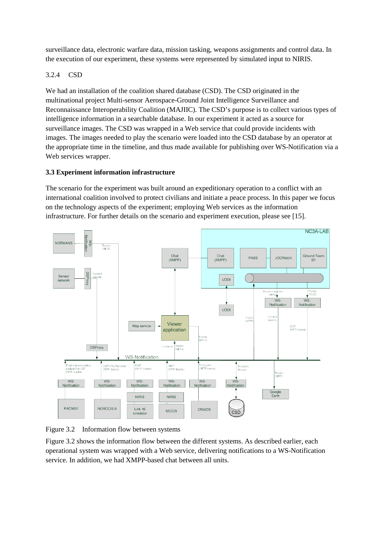surveillance data, electronic warfare data, mission tasking, weapons assignments and control data. In the execution of our experiment, these systems were represented by simulated input to NIRIS.

# 3.2.4 CSD

We had an installation of the coalition shared database (CSD). The CSD originated in the multinational project Multi-sensor Aerospace-Ground Joint Intelligence Surveillance and Reconnaissance Interoperability Coalition (MAJIIC). The CSD's purpose is to collect various types of intelligence information in a searchable database. In our experiment it acted as a source for surveillance images. The CSD was wrapped in a Web service that could provide incidents with images. The images needed to play the scenario were loaded into the CSD database by an operator at the appropriate time in the timeline, and thus made available for publishing over WS-Notification via a Web services wrapper.

# **3.3 Experiment information infrastructure**

The scenario for the experiment was built around an expeditionary operation to a conflict with an international coalition involved to protect civilians and initiate a peace process. In this paper we focus on the technology aspects of the experiment; employing Web services as the information infrastructure. For further details on the scenario and experiment execution, please see [\[15\].](#page-15-7)



Figure 3.2 Information flow between systems

Figure 3.2 shows the information flow between the different systems. As described earlier, each operational system was wrapped with a Web service, delivering notifications to a WS-Notification service. In addition, we had XMPP-based chat between all units.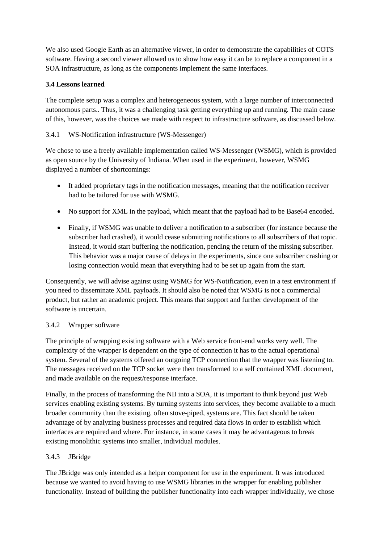We also used Google Earth as an alternative viewer, in order to demonstrate the capabilities of COTS software. Having a second viewer allowed us to show how easy it can be to replace a component in a SOA infrastructure, as long as the components implement the same interfaces.

# **3.4 Lessons learned**

The complete setup was a complex and heterogeneous system, with a large number of interconnected autonomous parts.. Thus, it was a challenging task getting everything up and running. The main cause of this, however, was the choices we made with respect to infrastructure software, as discussed below.

## 3.4.1 WS-Notification infrastructure (WS-Messenger)

We chose to use a freely available implementation called WS-Messenger (WSMG), which is provided as open source by the University of Indiana. When used in the experiment, however, WSMG displayed a number of shortcomings:

- It added proprietary tags in the notification messages, meaning that the notification receiver had to be tailored for use with WSMG.
- No support for XML in the payload, which meant that the payload had to be Base64 encoded.
- Finally, if WSMG was unable to deliver a notification to a subscriber (for instance because the subscriber had crashed), it would cease submitting notifications to all subscribers of that topic. Instead, it would start buffering the notification, pending the return of the missing subscriber. This behavior was a major cause of delays in the experiments, since one subscriber crashing or losing connection would mean that everything had to be set up again from the start.

Consequently, we will advise against using WSMG for WS-Notification, even in a test environment if you need to disseminate XML payloads. It should also be noted that WSMG is not a commercial product, but rather an academic project. This means that support and further development of the software is uncertain.

### 3.4.2 Wrapper software

The principle of wrapping existing software with a Web service front-end works very well. The complexity of the wrapper is dependent on the type of connection it has to the actual operational system. Several of the systems offered an outgoing TCP connection that the wrapper was listening to. The messages received on the TCP socket were then transformed to a self contained XML document, and made available on the request/response interface.

Finally, in the process of transforming the NII into a SOA, it is important to think beyond just Web services enabling existing systems. By turning systems into services, they become available to a much broader community than the existing, often stove-piped, systems are. This fact should be taken advantage of by analyzing business processes and required data flows in order to establish which interfaces are required and where. For instance, in some cases it may be advantageous to break existing monolithic systems into smaller, individual modules.

# 3.4.3 JBridge

The JBridge was only intended as a helper component for use in the experiment. It was introduced because we wanted to avoid having to use WSMG libraries in the wrapper for enabling publisher functionality. Instead of building the publisher functionality into each wrapper individually, we chose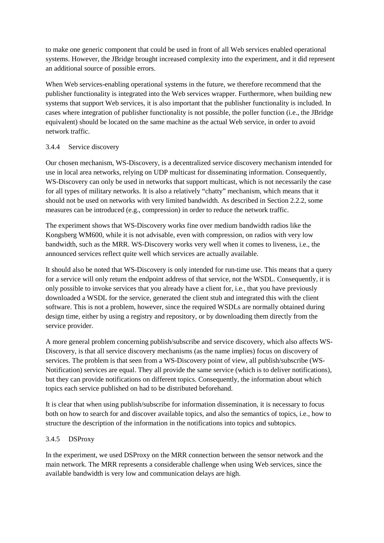to make one generic component that could be used in front of all Web services enabled operational systems. However, the JBridge brought increased complexity into the experiment, and it did represent an additional source of possible errors.

When Web services-enabling operational systems in the future, we therefore recommend that the publisher functionality is integrated into the Web services wrapper. Furthermore, when building new systems that support Web services, it is also important that the publisher functionality is included. In cases where integration of publisher functionality is not possible, the poller function (i.e., the JBridge equivalent) should be located on the same machine as the actual Web service, in order to avoid network traffic.

### 3.4.4 Service discovery

Our chosen mechanism, WS-Discovery, is a decentralized service discovery mechanism intended for use in local area networks, relying on UDP multicast for disseminating information. Consequently, WS-Discovery can only be used in networks that support multicast, which is not necessarily the case for all types of military networks. It is also a relatively "chatty" mechanism, which means that it should not be used on networks with very limited bandwidth. As described in Section 2.2.2, some measures can be introduced (e.g., compression) in order to reduce the network traffic.

The experiment shows that WS-Discovery works fine over medium bandwidth radios like the Kongsberg WM600, while it is not advisable, even with compression, on radios with very low bandwidth, such as the MRR. WS-Discovery works very well when it comes to liveness, i.e., the announced services reflect quite well which services are actually available.

It should also be noted that WS-Discovery is only intended for run-time use. This means that a query for a service will only return the endpoint address of that service, not the WSDL. Consequently, it is only possible to invoke services that you already have a client for, i.e., that you have previously downloaded a WSDL for the service, generated the client stub and integrated this with the client software. This is not a problem, however, since the required WSDLs are normally obtained during design time, either by using a registry and repository, or by downloading them directly from the service provider.

A more general problem concerning publish/subscribe and service discovery, which also affects WS-Discovery, is that all service discovery mechanisms (as the name implies) focus on discovery of services. The problem is that seen from a WS-Discovery point of view, all publish/subscribe (WS-Notification) services are equal. They all provide the same service (which is to deliver notifications), but they can provide notifications on different topics. Consequently, the information about which topics each service published on had to be distributed beforehand.

It is clear that when using publish/subscribe for information dissemination, it is necessary to focus both on how to search for and discover available topics, and also the semantics of topics, i.e., how to structure the description of the information in the notifications into topics and subtopics.

### 3.4.5 DSProxy

In the experiment, we used DSProxy on the MRR connection between the sensor network and the main network. The MRR represents a considerable challenge when using Web services, since the available bandwidth is very low and communication delays are high.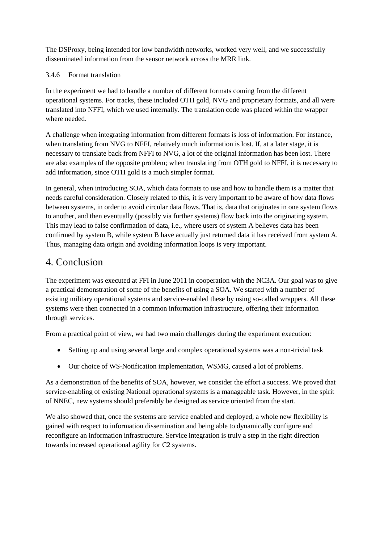The DSProxy, being intended for low bandwidth networks, worked very well, and we successfully disseminated information from the sensor network across the MRR link.

# 3.4.6 Format translation

In the experiment we had to handle a number of different formats coming from the different operational systems. For tracks, these included OTH gold, NVG and proprietary formats, and all were translated into NFFI, which we used internally. The translation code was placed within the wrapper where needed.

A challenge when integrating information from different formats is loss of information. For instance, when translating from NVG to NFFI, relatively much information is lost. If, at a later stage, it is necessary to translate back from NFFI to NVG, a lot of the original information has been lost. There are also examples of the opposite problem; when translating from OTH gold to NFFI, it is necessary to add information, since OTH gold is a much simpler format.

In general, when introducing SOA, which data formats to use and how to handle them is a matter that needs careful consideration. Closely related to this, it is very important to be aware of how data flows between systems, in order to avoid circular data flows. That is, data that originates in one system flows to another, and then eventually (possibly via further systems) flow back into the originating system. This may lead to false confirmation of data, i.e., where users of system A believes data has been confirmed by system B, while system B have actually just returned data it has received from system A. Thus, managing data origin and avoiding information loops is very important.

# 4. Conclusion

The experiment was executed at FFI in June 2011 in cooperation with the NC3A. Our goal was to give a practical demonstration of some of the benefits of using a SOA. We started with a number of existing military operational systems and service-enabled these by using so-called wrappers. All these systems were then connected in a common information infrastructure, offering their information through services.

From a practical point of view, we had two main challenges during the experiment execution:

- Setting up and using several large and complex operational systems was a non-trivial task
- Our choice of WS-Notification implementation, WSMG, caused a lot of problems.

As a demonstration of the benefits of SOA, however, we consider the effort a success. We proved that service-enabling of existing National operational systems is a manageable task. However, in the spirit of NNEC, new systems should preferably be designed as service oriented from the start.

We also showed that, once the systems are service enabled and deployed, a whole new flexibility is gained with respect to information dissemination and being able to dynamically configure and reconfigure an information infrastructure. Service integration is truly a step in the right direction towards increased operational agility for C2 systems.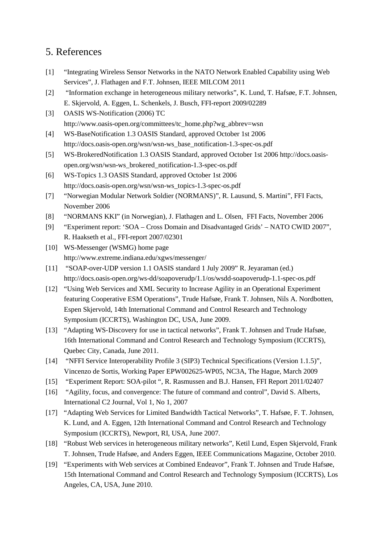# 5. References

- [1] "Integrating Wireless Sensor Networks in the NATO Network Enabled Capability using Web Services", J. Flathagen and F.T. Johnsen, IEEE MILCOM 2011
- [2] "Information exchange in heterogeneous military networks", K. Lund, T. Hafsøe, F.T. Johnsen, E. Skjervold, A. Eggen, L. Schenkels, J. Busch, FFI-report 2009/02289
- [3] OASIS WS-Notification (2006) TC http://www.oasis-open.org/committees/tc\_home.php?wg\_abbrev=wsn
- [4] WS-BaseNotification 1.3 OASIS Standard, approved October 1st 2006 http://docs.oasis-open.org/wsn/wsn-ws\_base\_notification-1.3-spec-os.pdf
- [5] WS-BrokeredNotification 1.3 OASIS Standard, approved October 1st 2006 http://docs.oasisopen.org/wsn/wsn-ws\_brokered\_notification-1.3-spec-os.pdf
- [6] WS-Topics 1.3 OASIS Standard, approved October 1st 2006 http://docs.oasis-open.org/wsn/wsn-ws\_topics-1.3-spec-os.pdf
- [7] "Norwegian Modular Network Soldier (NORMANS)", R. Lausund, S. Martini", FFI Facts, November 2006
- [8] "NORMANS KKI" (in Norwegian), J. Flathagen and L. Olsen, FFI Facts, November 2006
- [9] "Experiment report: 'SOA Cross Domain and Disadvantaged Grids' NATO CWID 2007", R. Haakseth et al., FFI-report 2007/02301
- [10] WS-Messenger (WSMG) home page http://www.extreme.indiana.edu/xgws/messenger/
- [11] "SOAP-over-UDP version 1.1 OASIS standard 1 July 2009" R. Jeyaraman (ed.) http://docs.oasis-open.org/ws-dd/soapoverudp/1.1/os/wsdd-soapoverudp-1.1-spec-os.pdf
- <span id="page-15-2"></span>[12] "Using Web Services and XML Security to Increase Agility in an Operational Experiment featuring Cooperative ESM Operations", Trude Hafsøe, Frank T. Johnsen, Nils A. Nordbotten, Espen Skjervold, 14th International Command and Control Research and Technology Symposium (ICCRTS), Washington DC, USA, June 2009.
- <span id="page-15-3"></span>[13] "Adapting WS-Discovery for use in tactical networks", Frank T. Johnsen and Trude Hafsøe, 16th International Command and Control Research and Technology Symposium (ICCRTS), Quebec City, Canada, June 2011.
- <span id="page-15-6"></span>[14] "NFFI Service Interoperability Profile 3 (SIP3) Technical Specifications (Version 1.1.5)", Vincenzo de Sortis, Working Paper EPW002625-WP05, NC3A, The Hague, March 2009
- <span id="page-15-7"></span>[15] "Experiment Report: SOA-pilot ", R. Rasmussen and B.J. Hansen, FFI Report 2011/02407
- <span id="page-15-0"></span>[16] "Agility, focus, and convergence: The future of command and control", David S. Alberts, International C2 Journal, Vol 1, No 1, 2007
- <span id="page-15-4"></span>[17] "Adapting Web Services for Limited Bandwidth Tactical Networks", T. Hafsøe, F. T. Johnsen, K. Lund, and A. Eggen, 12th International Command and Control Research and Technology Symposium (ICCRTS), Newport, RI, USA, June 2007.
- <span id="page-15-5"></span>[18] "Robust Web services in heterogeneous military networks", Ketil Lund, Espen Skjervold, Frank T. Johnsen, Trude Hafsøe, and Anders Eggen, IEEE Communications Magazine, October 2010.
- <span id="page-15-1"></span>[19] "Experiments with Web services at Combined Endeavor", Frank T. Johnsen and Trude Hafsøe, 15th International Command and Control Research and Technology Symposium (ICCRTS), Los Angeles, CA, USA, June 2010.